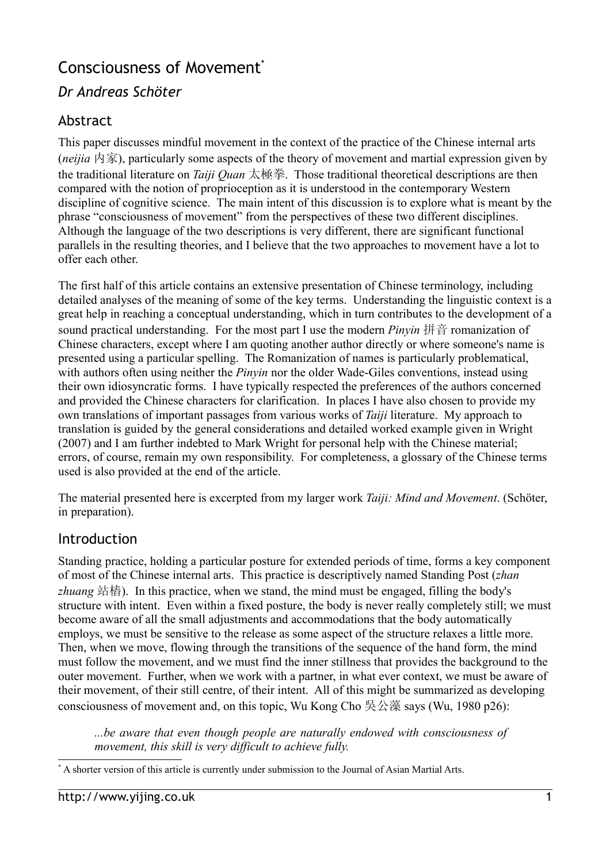# Consciousness of Movement<sup>[\\*](#page-0-0)</sup>

## *Dr Andreas Schöter*

## Abstract

This paper discusses mindful movement in the context of the practice of the Chinese internal arts (*neijia* 内家), particularly some aspects of the theory of movement and martial expression given by the traditional literature on *Taiji Quan* 太極拳. Those traditional theoretical descriptions are then compared with the notion of proprioception as it is understood in the contemporary Western discipline of cognitive science. The main intent of this discussion is to explore what is meant by the phrase "consciousness of movement" from the perspectives of these two different disciplines. Although the language of the two descriptions is very different, there are significant functional parallels in the resulting theories, and I believe that the two approaches to movement have a lot to offer each other.

The first half of this article contains an extensive presentation of Chinese terminology, including detailed analyses of the meaning of some of the key terms. Understanding the linguistic context is a great help in reaching a conceptual understanding, which in turn contributes to the development of a sound practical understanding. For the most part I use the modern *Pinyin* 拼音 romanization of Chinese characters, except where I am quoting another author directly or where someone's name is presented using a particular spelling. The Romanization of names is particularly problematical, with authors often using neither the *Pinyin* nor the older Wade-Giles conventions, instead using their own idiosyncratic forms. I have typically respected the preferences of the authors concerned and provided the Chinese characters for clarification. In places I have also chosen to provide my own translations of important passages from various works of *Taiji* literature. My approach to translation is guided by the general considerations and detailed worked example given in Wright (2007) and I am further indebted to Mark Wright for personal help with the Chinese material; errors, of course, remain my own responsibility. For completeness, a glossary of the Chinese terms used is also provided at the end of the article.

The material presented here is excerpted from my larger work *Taiji: Mind and Movement*. (Schöter, in preparation).

## Introduction

Standing practice, holding a particular posture for extended periods of time, forms a key component of most of the Chinese internal arts. This practice is descriptively named Standing Post (*zhan zhuang* 站樁). In this practice, when we stand, the mind must be engaged, filling the body's structure with intent. Even within a fixed posture, the body is never really completely still; we must become aware of all the small adjustments and accommodations that the body automatically employs, we must be sensitive to the release as some aspect of the structure relaxes a little more. Then, when we move, flowing through the transitions of the sequence of the hand form, the mind must follow the movement, and we must find the inner stillness that provides the background to the outer movement. Further, when we work with a partner, in what ever context, we must be aware of their movement, of their still centre, of their intent. All of this might be summarized as developing consciousness of movement and, on this topic, Wu Kong Cho 吳公藻 says (Wu, 1980 p26):

*...be aware that even though people are naturally endowed with consciousness of movement, this skill is very difficult to achieve fully.*

<span id="page-0-0"></span><sup>\*</sup> A shorter version of this article is currently under submission to the Journal of Asian Martial Arts.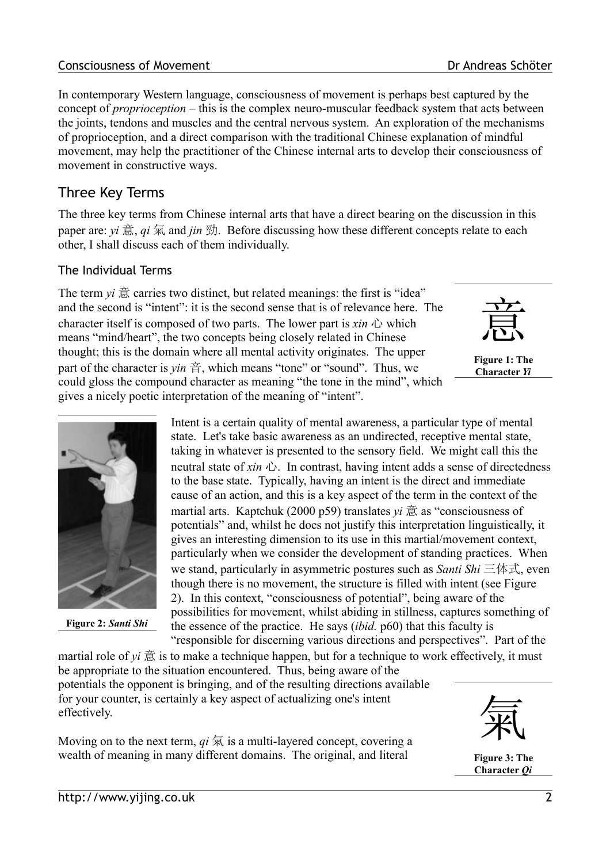#### **Consciousness of Movement Consciousness of Movement** Dr Andreas Schöter

In contemporary Western language, consciousness of movement is perhaps best captured by the concept of *proprioception* – this is the complex neuro-muscular feedback system that acts between the joints, tendons and muscles and the central nervous system. An exploration of the mechanisms of proprioception, and a direct comparison with the traditional Chinese explanation of mindful movement, may help the practitioner of the Chinese internal arts to develop their consciousness of movement in constructive ways.

## Three Key Terms

The three key terms from Chinese internal arts that have a direct bearing on the discussion in this paper are: *vi* 意, *qi* 氣 and *jin* 勁. Before discussing how these different concepts relate to each other, I shall discuss each of them individually.

### The Individual Terms

The term  $vi \approx c$  carries two distinct, but related meanings: the first is "idea" and the second is "intent": it is the second sense that is of relevance here. The character itself is composed of two parts. The lower part is  $x$ *in*  $\triangle$  which means "mind/heart", the two concepts being closely related in Chinese thought; this is the domain where all mental activity originates. The upper part of the character is  $\gamma$ *in*  $\frac{32}{11}$ , which means "tone" or "sound". Thus, we could gloss the compound character as meaning "the tone in the mind", which gives a nicely poetic interpretation of the meaning of "intent".



**Figure 1: The Character** *Yi*



**Figure 2:** *Santi Shi*

Intent is a certain quality of mental awareness, a particular type of mental state. Let's take basic awareness as an undirected, receptive mental state, taking in whatever is presented to the sensory field. We might call this the neutral state of *xin*  $\triangle$ . In contrast, having intent adds a sense of directedness to the base state. Typically, having an intent is the direct and immediate cause of an action, and this is a key aspect of the term in the context of the martial arts. Kaptchuk (2000 p59) translates *yi* 意 as "consciousness of potentials" and, whilst he does not justify this interpretation linguistically, it gives an interesting dimension to its use in this martial/movement context, particularly when we consider the development of standing practices. When we stand, particularly in asymmetric postures such as *Santi Shi* 三体式, even though there is no movement, the structure is filled with intent (see [Figure](#page-1-0) [2\)](#page-1-0). In this context, "consciousness of potential", being aware of the possibilities for movement, whilst abiding in stillness, captures something of the essence of the practice. He says (*ibid.* p60) that this faculty is "responsible for discerning various directions and perspectives". Part of the

<span id="page-1-0"></span>martial role of  $vi \times \hat{\mathbb{R}}$  is to make a technique happen, but for a technique to work effectively, it must be appropriate to the situation encountered. Thus, being aware of the potentials the opponent is bringing, and of the resulting directions available for your counter, is certainly a key aspect of actualizing one's intent effectively.

Moving on to the next term,  $qi \nlessgtr 1$  is a multi-layered concept, covering a wealth of meaning in many different domains. The original, and literal



**Figure 3: The Character** *Qi*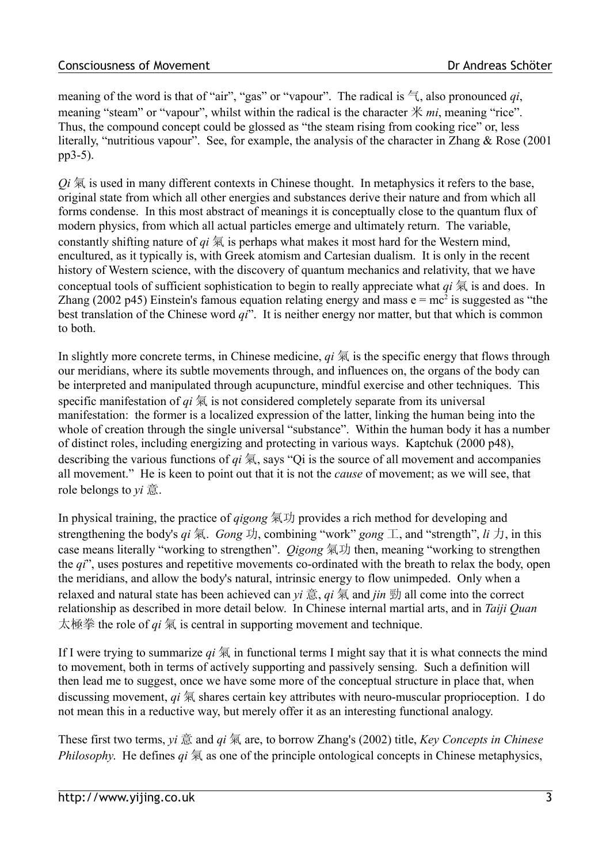meaning of the word is that of "air", "gas" or "vapour". The radical is  $\equiv$ , also pronounced *qi*, meaning "steam" or "vapour", whilst within the radical is the character 米 *mi*, meaning "rice". Thus, the compound concept could be glossed as "the steam rising from cooking rice" or, less literally, "nutritious vapour". See, for example, the analysis of the character in Zhang & Rose (2001 pp3-5).

 $Q_i$   $\overline{\otimes}$  is used in many different contexts in Chinese thought. In metaphysics it refers to the base, original state from which all other energies and substances derive their nature and from which all forms condense. In this most abstract of meanings it is conceptually close to the quantum flux of modern physics, from which all actual particles emerge and ultimately return. The variable, constantly shifting nature of  $qi \nleq \frac{1}{2}$  is perhaps what makes it most hard for the Western mind, encultured, as it typically is, with Greek atomism and Cartesian dualism. It is only in the recent history of Western science, with the discovery of quantum mechanics and relativity, that we have conceptual tools of sufficient sophistication to begin to really appreciate what *qi* 氣 is and does. In Zhang (2002 p45) Einstein's famous equation relating energy and mass  $e = mc^2$  is suggested as "the best translation of the Chinese word *qi*". It is neither energy nor matter, but that which is common to both.

In slightly more concrete terms, in Chinese medicine,  $qi \nvert \nvert \nvert$  is the specific energy that flows through our meridians, where its subtle movements through, and influences on, the organs of the body can be interpreted and manipulated through acupuncture, mindful exercise and other techniques. This specific manifestation of  $qi \nleq k$  is not considered completely separate from its universal manifestation: the former is a localized expression of the latter, linking the human being into the whole of creation through the single universal "substance". Within the human body it has a number of distinct roles, including energizing and protecting in various ways. Kaptchuk (2000 p48), describing the various functions of *qi* 氣, says "Qi is the source of all movement and accompanies all movement." He is keen to point out that it is not the *cause* of movement; as we will see, that role belongs to *yi* 意.

In physical training, the practice of *qigong* 氣功 provides a rich method for developing and strengthening the body's  $qi$  氣. *Gong* 功, combining "work" *gong* 工, and "strength",  $li$  力, in this case means literally "working to strengthen". *Qigong* 氣功 then, meaning "working to strengthen the *qi*", uses postures and repetitive movements co-ordinated with the breath to relax the body, open the meridians, and allow the body's natural, intrinsic energy to flow unimpeded. Only when a relaxed and natural state has been achieved can *yi* 意, *qi* 氣 and *jin* 勁 all come into the correct relationship as described in more detail below. In Chinese internal martial arts, and in *Taiji Quan* 太極拳 the role of *qi* 氣 is central in supporting movement and technique.

If I were trying to summarize  $qi \nvert \nvert \nvert$  in functional terms I might say that it is what connects the mind to movement, both in terms of actively supporting and passively sensing. Such a definition will then lead me to suggest, once we have some more of the conceptual structure in place that, when discussing movement, *qi* 氣 shares certain key attributes with neuro-muscular proprioception. I do not mean this in a reductive way, but merely offer it as an interesting functional analogy.

These first two terms, *yi* 意 and *qi* 氣 are, to borrow Zhang's (2002) title, *Key Concepts in Chinese Philosophy*. He defines *qi* 氣 as one of the principle ontological concepts in Chinese metaphysics,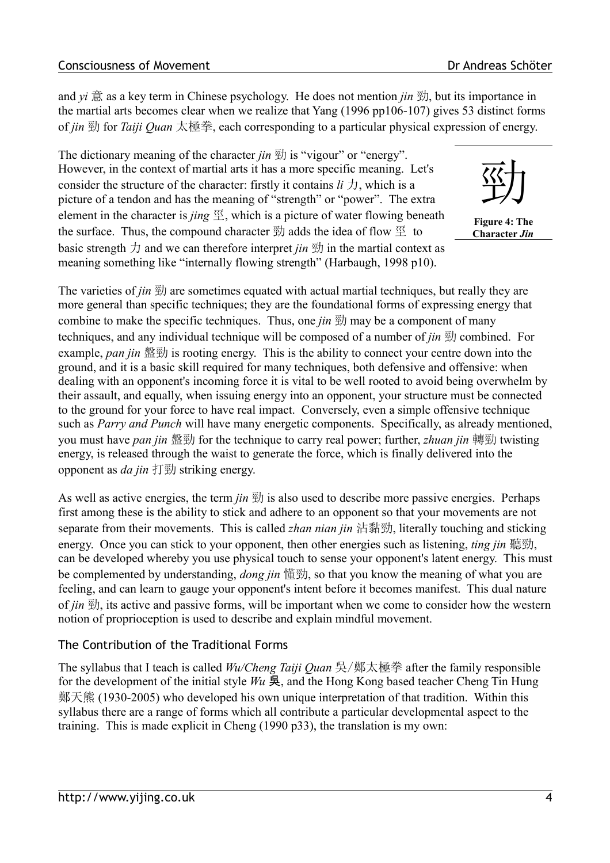and *yi* 意 as a key term in Chinese psychology. He does not mention *jin* 勁, but its importance in the martial arts becomes clear when we realize that Yang (1996 pp106-107) gives 53 distinct forms of *jin* 勁 for *Taiji Quan* 太極拳, each corresponding to a particular physical expression of energy.

The dictionary meaning of the character *jin* 勁 is "vigour" or "energy". However, in the context of martial arts it has a more specific meaning. Let's consider the structure of the character: firstly it contains  $li \pm j$ , which is a picture of a tendon and has the meaning of "strength" or "power". The extra element in the character is *jing*  $\mathcal{Z}$ , which is a picture of water flowing beneath the surface. Thus, the compound character  $\overline{\mathbb{E}}$  adds the idea of flow  $\overline{\mathbb{E}}$  to basic strength  $\pi$  and we can therefore interpret *jin*  $\overline{\mathfrak{B}}$  in the martial context as meaning something like "internally flowing strength" (Harbaugh, 1998 p10).



**Figure 4: The Character** *Jin*

The varieties of *jin*  $\overline{\mathfrak{B}}$  are sometimes equated with actual martial techniques, but really they are more general than specific techniques; they are the foundational forms of expressing energy that combine to make the specific techniques. Thus, one *jin* 勁 may be a component of many techniques, and any individual technique will be composed of a number of *jin* 勁 combined. For example, *pan jin* 盤勁 is rooting energy. This is the ability to connect your centre down into the ground, and it is a basic skill required for many techniques, both defensive and offensive: when dealing with an opponent's incoming force it is vital to be well rooted to avoid being overwhelm by their assault, and equally, when issuing energy into an opponent, your structure must be connected to the ground for your force to have real impact. Conversely, even a simple offensive technique such as *Parry and Punch* will have many energetic components. Specifically, as already mentioned, you must have *pan jin* 盤勁 for the technique to carry real power; further, *zhuan jin* 轉勁 twisting energy, is released through the waist to generate the force, which is finally delivered into the opponent as *da jin* 打勁 striking energy.

As well as active energies, the term *jin* 勁 is also used to describe more passive energies. Perhaps first among these is the ability to stick and adhere to an opponent so that your movements are not separate from their movements. This is called *zhan nian jin* 沾黏勁, literally touching and sticking energy. Once you can stick to your opponent, then other energies such as listening, *ting jin* 聽勁, can be developed whereby you use physical touch to sense your opponent's latent energy. This must be complemented by understanding, *dong jin* 懂勁, so that you know the meaning of what you are feeling, and can learn to gauge your opponent's intent before it becomes manifest. This dual nature of *jin* 勁, its active and passive forms, will be important when we come to consider how the western notion of proprioception is used to describe and explain mindful movement.

### The Contribution of the Traditional Forms

The syllabus that I teach is called *Wu/Cheng Taiji Quan* 吳/鄭太極拳 after the family responsible for the development of the initial style *Wu* 吳, and the Hong Kong based teacher Cheng Tin Hung 鄭天熊 (1930-2005) who developed his own unique interpretation of that tradition. Within this syllabus there are a range of forms which all contribute a particular developmental aspect to the training. This is made explicit in Cheng (1990 p33), the translation is my own: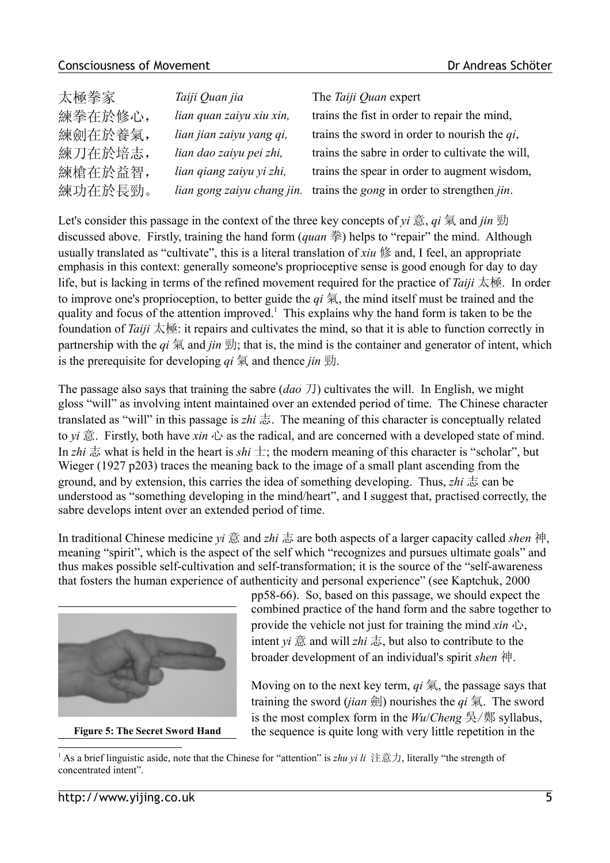#### Consciousness of Movement **Consciousness** of Movement

| 太極拳家    | Taiji Quan jia             | The Taiji Quan expert                                      |
|---------|----------------------------|------------------------------------------------------------|
| 練拳在於修心, | lian quan zaiyu xiu xin,   | trains the fist in order to repair the mind,               |
| 練劍在於養氣, | lian jian zaiyu yang qi,   | trains the sword in order to nourish the $qi$ ,            |
| 練刀在於培志, | lian dao zaiyu pei zhi,    | trains the sabre in order to cultivate the will,           |
| 練槍在於益智, | lian qiang zaiyu yi zhi,   | trains the spear in order to augment wisdom,               |
| 練功在於長勁。 | lian gong zaiyu chang jin. | trains the <i>gong</i> in order to strengthen <i>jin</i> . |

Let's consider this passage in the context of the three key concepts of *yi* 意, *qi* 氣 and *jin* 勁 discussed above. Firstly, training the hand form (*quan* 拳) helps to "repair" the mind. Although usually translated as "cultivate", this is a literal translation of *xiu* 修 and, I feel, an appropriate emphasis in this context: generally someone's proprioceptive sense is good enough for day to day life, but is lacking in terms of the refined movement required for the practice of *Taiji* 太極. In order to improve one's proprioception, to better guide the *qi* 氣, the mind itself must be trained and the quality and focus of the attention improved.<sup>[1](#page-4-0)</sup> This explains why the hand form is taken to be the foundation of *Taiji* 太極: it repairs and cultivates the mind, so that it is able to function correctly in partnership with the  $qi \nsubseteq a$  and  $ijn \nsubseteq f$ ; that is, the mind is the container and generator of intent, which is the prerequisite for developing *qi* 氣 and thence *jin* 勁.

The passage also says that training the sabre (*dao* 刀) cultivates the will. In English, we might gloss "will" as involving intent maintained over an extended period of time. The Chinese character translated as "will" in this passage is *zhi* 志. The meaning of this character is conceptually related to *yi* 意. Firstly, both have *xin* 心 as the radical, and are concerned with a developed state of mind. In *zhi*  $\pm$  what is held in the heart is *shi*  $\pm$ ; the modern meaning of this character is "scholar", but Wieger (1927 p203) traces the meaning back to the image of a small plant ascending from the ground, and by extension, this carries the idea of something developing. Thus, *zhi* 志 can be understood as "something developing in the mind/heart", and I suggest that, practised correctly, the sabre develops intent over an extended period of time.

In traditional Chinese medicine *yi* 意 and *zhi* 志 are both aspects of a larger capacity called *shen* 神, meaning "spirit", which is the aspect of the self which "recognizes and pursues ultimate goals" and thus makes possible self-cultivation and self-transformation; it is the source of the "self-awareness that fosters the human experience of authenticity and personal experience" (see Kaptchuk, 2000



**Figure 5: The Secret Sword Hand**

pp58-66). So, based on this passage, we should expect the combined practice of the hand form and the sabre together to provide the vehicle not just for training the mind *xin* 心, intent *yi*  $\hat{\mathbb{B}}$  and will *zhi* 志, but also to contribute to the broader development of an individual's spirit *shen* 神.

Moving on to the next key term, *qi* 氣, the passage says that training the sword *(jian* 劍) nourishes the  $qi \nvert \nvert \nvert$ . The sword is the most complex form in the *Wu*/*Cheng* 吳/鄭 syllabus, the sequence is quite long with very little repetition in the

<span id="page-4-1"></span><span id="page-4-0"></span><sup>&</sup>lt;sup>1</sup> As a brief linguistic aside, note that the Chinese for "attention" is *zhu vi li* 注意力, literally "the strength of concentrated intent".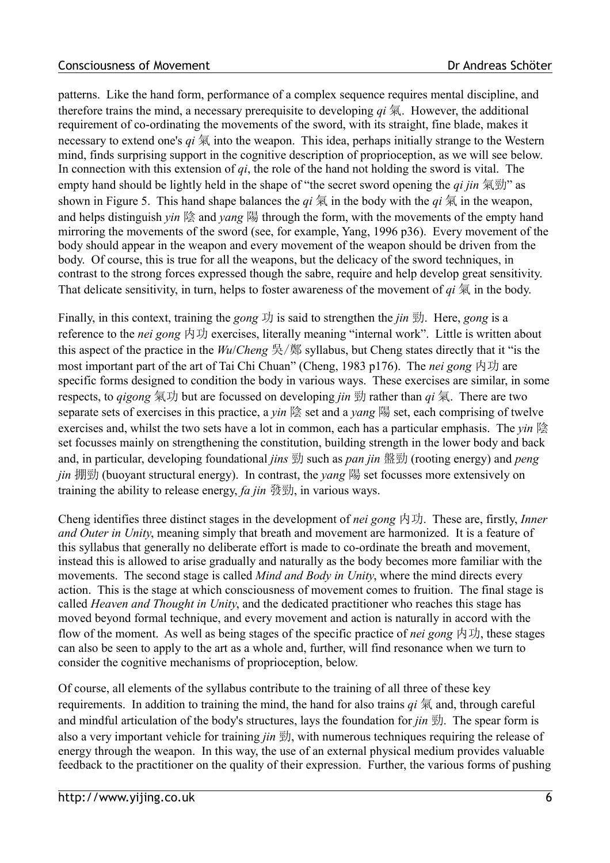patterns. Like the hand form, performance of a complex sequence requires mental discipline, and therefore trains the mind, a necessary prerequisite to developing *qi* 氣. However, the additional requirement of co-ordinating the movements of the sword, with its straight, fine blade, makes it necessary to extend one's *qi* 氣 into the weapon. This idea, perhaps initially strange to the Western mind, finds surprising support in the cognitive description of proprioception, as we will see below. In connection with this extension of *qi*, the role of the hand not holding the sword is vital. The empty hand should be lightly held in the shape of "the secret sword opening the *qi jin* 氣勁" as shown in [Figure 5.](#page-4-1) This hand shape balances the  $qi \nvert \nvert \nvert \nvert$  in the body with the  $qi \nvert \nvert \nvert \nvert$  in the weapon, and helps distinguish *yin* 陰 and *yang* 陽 through the form, with the movements of the empty hand mirroring the movements of the sword (see, for example, Yang, 1996 p36). Every movement of the body should appear in the weapon and every movement of the weapon should be driven from the body. Of course, this is true for all the weapons, but the delicacy of the sword techniques, in contrast to the strong forces expressed though the sabre, require and help develop great sensitivity. That delicate sensitivity, in turn, helps to foster awareness of the movement of *qi* 氣 in the body.

Finally, in this context, training the *gong* 功 is said to strengthen the *jin* 勁. Here, *gong* is a reference to the *nei gong* 内功 exercises, literally meaning "internal work". Little is written about this aspect of the practice in the *Wu*/*Cheng* 吳/鄭 syllabus, but Cheng states directly that it "is the most important part of the art of Tai Chi Chuan" (Cheng, 1983 p176). The *nei gong* 内功 are specific forms designed to condition the body in various ways. These exercises are similar, in some respects, to *qigong* 氣功 but are focussed on developing *jin* 勁 rather than *qi* 氣. There are two separate sets of exercises in this practice, a *yin* 陰 set and a *yang* 陽 set, each comprising of twelve exercises and, whilst the two sets have a lot in common, each has a particular emphasis. The *yin* 陰 set focusses mainly on strengthening the constitution, building strength in the lower body and back and, in particular, developing foundational *jins* 勁 such as *pan jin* 盤勁 (rooting energy) and *peng jin* 掤勁 (buoyant structural energy). In contrast, the *yang* 陽 set focusses more extensively on training the ability to release energy, *fa jin* 發勁, in various ways.

Cheng identifies three distinct stages in the development of *nei gong* 内功. These are, firstly, *Inner and Outer in Unity*, meaning simply that breath and movement are harmonized. It is a feature of this syllabus that generally no deliberate effort is made to co-ordinate the breath and movement, instead this is allowed to arise gradually and naturally as the body becomes more familiar with the movements. The second stage is called *Mind and Body in Unity*, where the mind directs every action. This is the stage at which consciousness of movement comes to fruition. The final stage is called *Heaven and Thought in Unity*, and the dedicated practitioner who reaches this stage has moved beyond formal technique, and every movement and action is naturally in accord with the flow of the moment. As well as being stages of the specific practice of *nei gong* 内功, these stages can also be seen to apply to the art as a whole and, further, will find resonance when we turn to consider the cognitive mechanisms of proprioception, below.

Of course, all elements of the syllabus contribute to the training of all three of these key requirements. In addition to training the mind, the hand for also trains *qi* 氣 and, through careful and mindful articulation of the body's structures, lays the foundation for *jin* 勁. The spear form is also a very important vehicle for training *jin* 勁, with numerous techniques requiring the release of energy through the weapon. In this way, the use of an external physical medium provides valuable feedback to the practitioner on the quality of their expression. Further, the various forms of pushing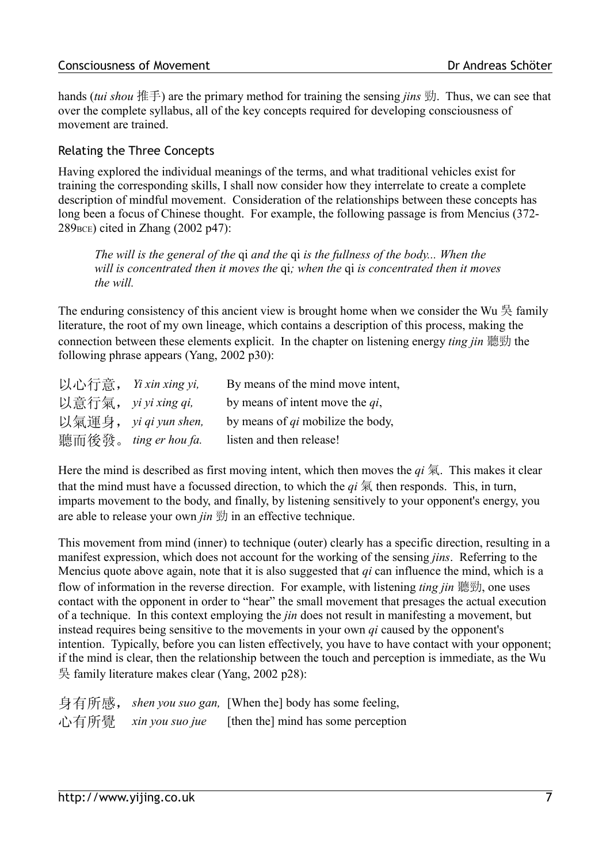hands (*tui shou* 推手) are the primary method for training the sensing *jins* 勁. Thus, we can see that over the complete syllabus, all of the key concepts required for developing consciousness of movement are trained.

### Relating the Three Concepts

Having explored the individual meanings of the terms, and what traditional vehicles exist for training the corresponding skills, I shall now consider how they interrelate to create a complete description of mindful movement. Consideration of the relationships between these concepts has long been a focus of Chinese thought. For example, the following passage is from Mencius (372- $289$ <sub>BCE</sub>) cited in Zhang  $(2002 \text{ p}47)$ :

*The will is the general of the* qi *and the* qi *is the fullness of the body... When the will is concentrated then it moves the* qi*; when the* qi *is concentrated then it moves the will.*

The enduring consistency of this ancient view is brought home when we consider the Wu  $\frac{1}{2}$  family literature, the root of my own lineage, which contains a description of this process, making the connection between these elements explicit. In the chapter on listening energy *ting jin* 聽勁 the following phrase appears (Yang, 2002 p30):

| 以心行意, | Yi xin xing yi,       | By means of the mind move intent,        |
|-------|-----------------------|------------------------------------------|
|       | 以意行氣, yi yi xing qi,  | by means of intent move the $qi$ ,       |
|       | 以氣運身, yi qi yun shen, | by means of <i>qi</i> mobilize the body, |
|       | 聽而後發。 ting er hou fa. | listen and then release!                 |

Here the mind is described as first moving intent, which then moves the  $qi \nvert \overline{\mathcal{R}}$ . This makes it clear that the mind must have a focussed direction, to which the  $qi \nless 1$  then responds. This, in turn, imparts movement to the body, and finally, by listening sensitively to your opponent's energy, you are able to release your own *jin* 勁 in an effective technique.

This movement from mind (inner) to technique (outer) clearly has a specific direction, resulting in a manifest expression, which does not account for the working of the sensing *jins*. Referring to the Mencius quote above again, note that it is also suggested that *qi* can influence the mind, which is a flow of information in the reverse direction. For example, with listening *ting jin* 聽勁, one uses contact with the opponent in order to "hear" the small movement that presages the actual execution of a technique. In this context employing the *jin* does not result in manifesting a movement, but instead requires being sensitive to the movements in your own *qi* caused by the opponent's intention. Typically, before you can listen effectively, you have to have contact with your opponent; if the mind is clear, then the relationship between the touch and perception is immediate, as the Wu 吳 family literature makes clear (Yang, 2002 p28):

身有所感,*shen you suo gan,* [When the] body has some feeling, 心有所覺 *xin you suo jue* [then the] mind has some perception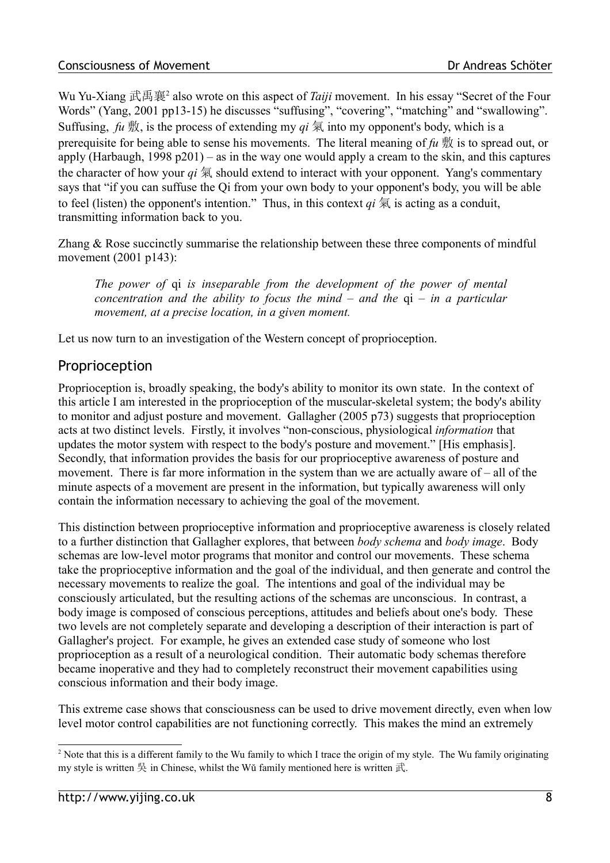Wu Yu-Xiang 武禹襄<sup>[2](#page-7-0)</sup> also wrote on this aspect of *Taiji* movement. In his essay "Secret of the Four Words" (Yang, 2001 pp13-15) he discusses "suffusing", "covering", "matching" and "swallowing". Suffusing,  $fu \nvert \nvert x$ , is the process of extending my  $qi \nvert \nvert x$  into my opponent's body, which is a prerequisite for being able to sense his movements. The literal meaning of *fu* 敷 is to spread out, or apply (Harbaugh,  $1998 \text{ p}201$ ) – as in the way one would apply a cream to the skin, and this captures the character of how your  $qi \nvert \nvert \nvert$  should extend to interact with your opponent. Yang's commentary says that "if you can suffuse the Qi from your own body to your opponent's body, you will be able to feel (listen) the opponent's intention." Thus, in this context  $qi \nvert \nvert \nvert$  is acting as a conduit, transmitting information back to you.

Zhang & Rose succinctly summarise the relationship between these three components of mindful movement (2001 p143):

*The power of* qi *is inseparable from the development of the power of mental concentration and the ability to focus the mind – and the* qi *– in a particular movement, at a precise location, in a given moment.* 

Let us now turn to an investigation of the Western concept of proprioception.

## Proprioception

Proprioception is, broadly speaking, the body's ability to monitor its own state. In the context of this article I am interested in the proprioception of the muscular-skeletal system; the body's ability to monitor and adjust posture and movement. Gallagher (2005 p73) suggests that proprioception acts at two distinct levels. Firstly, it involves "non-conscious, physiological *information* that updates the motor system with respect to the body's posture and movement." [His emphasis]. Secondly, that information provides the basis for our proprioceptive awareness of posture and movement. There is far more information in the system than we are actually aware of – all of the minute aspects of a movement are present in the information, but typically awareness will only contain the information necessary to achieving the goal of the movement.

This distinction between proprioceptive information and proprioceptive awareness is closely related to a further distinction that Gallagher explores, that between *body schema* and *body image*. Body schemas are low-level motor programs that monitor and control our movements. These schema take the proprioceptive information and the goal of the individual, and then generate and control the necessary movements to realize the goal. The intentions and goal of the individual may be consciously articulated, but the resulting actions of the schemas are unconscious. In contrast, a body image is composed of conscious perceptions, attitudes and beliefs about one's body. These two levels are not completely separate and developing a description of their interaction is part of Gallagher's project. For example, he gives an extended case study of someone who lost proprioception as a result of a neurological condition. Their automatic body schemas therefore became inoperative and they had to completely reconstruct their movement capabilities using conscious information and their body image.

This extreme case shows that consciousness can be used to drive movement directly, even when low level motor control capabilities are not functioning correctly. This makes the mind an extremely

<span id="page-7-0"></span><sup>&</sup>lt;sup>2</sup> Note that this is a different family to the Wu family to which I trace the origin of my style. The Wu family originating my style is written  $\frac{1}{2}$  in Chinese, whilst the Wŭ family mentioned here is written  $\frac{1}{k}$ .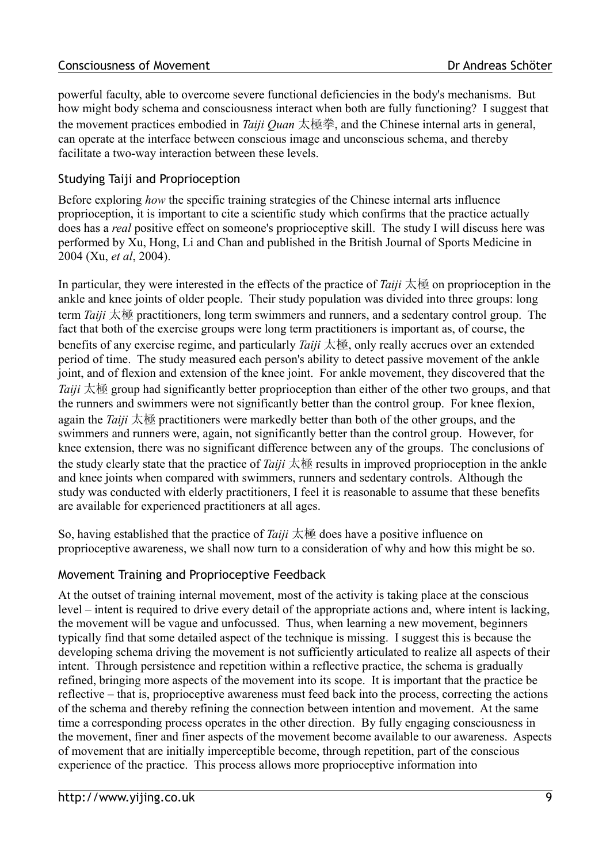#### **Consciousness of Movement Consciousness of Movement** Dr Andreas Schöter

powerful faculty, able to overcome severe functional deficiencies in the body's mechanisms. But how might body schema and consciousness interact when both are fully functioning? I suggest that the movement practices embodied in *Taiji Quan* 太極拳, and the Chinese internal arts in general, can operate at the interface between conscious image and unconscious schema, and thereby facilitate a two-way interaction between these levels.

### Studying Taiji and Proprioception

Before exploring *how* the specific training strategies of the Chinese internal arts influence proprioception, it is important to cite a scientific study which confirms that the practice actually does has a *real* positive effect on someone's proprioceptive skill. The study I will discuss here was performed by Xu, Hong, Li and Chan and published in the British Journal of Sports Medicine in 2004 (Xu, *et al*, 2004).

In particular, they were interested in the effects of the practice of *Taiji* 太極 on proprioception in the ankle and knee joints of older people. Their study population was divided into three groups: long term *Taiji* 太極 practitioners, long term swimmers and runners, and a sedentary control group. The fact that both of the exercise groups were long term practitioners is important as, of course, the benefits of any exercise regime, and particularly *Taiji* 太極, only really accrues over an extended period of time. The study measured each person's ability to detect passive movement of the ankle joint, and of flexion and extension of the knee joint. For ankle movement, they discovered that the *Taiji* 太極 group had significantly better proprioception than either of the other two groups, and that the runners and swimmers were not significantly better than the control group. For knee flexion, again the *Taiji* 太極 practitioners were markedly better than both of the other groups, and the swimmers and runners were, again, not significantly better than the control group. However, for knee extension, there was no significant difference between any of the groups. The conclusions of the study clearly state that the practice of *Taiji* 太極 results in improved proprioception in the ankle and knee joints when compared with swimmers, runners and sedentary controls. Although the study was conducted with elderly practitioners, I feel it is reasonable to assume that these benefits are available for experienced practitioners at all ages.

So, having established that the practice of *Taiji* 太極 does have a positive influence on proprioceptive awareness, we shall now turn to a consideration of why and how this might be so.

#### Movement Training and Proprioceptive Feedback

At the outset of training internal movement, most of the activity is taking place at the conscious level – intent is required to drive every detail of the appropriate actions and, where intent is lacking, the movement will be vague and unfocussed. Thus, when learning a new movement, beginners typically find that some detailed aspect of the technique is missing. I suggest this is because the developing schema driving the movement is not sufficiently articulated to realize all aspects of their intent. Through persistence and repetition within a reflective practice, the schema is gradually refined, bringing more aspects of the movement into its scope. It is important that the practice be reflective – that is, proprioceptive awareness must feed back into the process, correcting the actions of the schema and thereby refining the connection between intention and movement. At the same time a corresponding process operates in the other direction. By fully engaging consciousness in the movement, finer and finer aspects of the movement become available to our awareness. Aspects of movement that are initially imperceptible become, through repetition, part of the conscious experience of the practice. This process allows more proprioceptive information into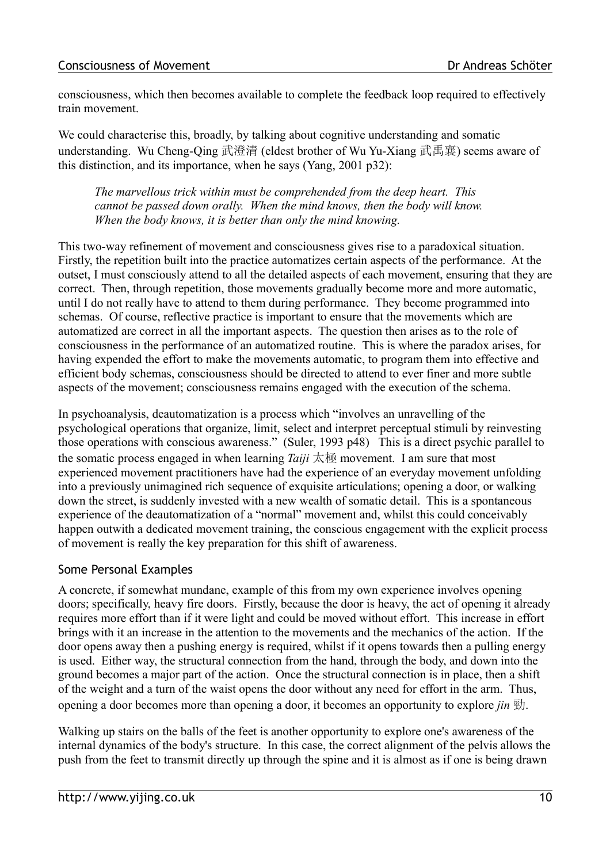consciousness, which then becomes available to complete the feedback loop required to effectively train movement.

We could characterise this, broadly, by talking about cognitive understanding and somatic understanding. Wu Cheng-Qing 武澄清 (eldest brother of Wu Yu-Xiang 武禹襄) seems aware of this distinction, and its importance, when he says (Yang, 2001 p32):

*The marvellous trick within must be comprehended from the deep heart. This cannot be passed down orally. When the mind knows, then the body will know. When the body knows, it is better than only the mind knowing.*

This two-way refinement of movement and consciousness gives rise to a paradoxical situation. Firstly, the repetition built into the practice automatizes certain aspects of the performance. At the outset, I must consciously attend to all the detailed aspects of each movement, ensuring that they are correct. Then, through repetition, those movements gradually become more and more automatic, until I do not really have to attend to them during performance. They become programmed into schemas. Of course, reflective practice is important to ensure that the movements which are automatized are correct in all the important aspects. The question then arises as to the role of consciousness in the performance of an automatized routine. This is where the paradox arises, for having expended the effort to make the movements automatic, to program them into effective and efficient body schemas, consciousness should be directed to attend to ever finer and more subtle aspects of the movement; consciousness remains engaged with the execution of the schema.

In psychoanalysis, deautomatization is a process which "involves an unravelling of the psychological operations that organize, limit, select and interpret perceptual stimuli by reinvesting those operations with conscious awareness." (Suler, 1993 p48) This is a direct psychic parallel to the somatic process engaged in when learning *Taiji* 太極 movement. I am sure that most experienced movement practitioners have had the experience of an everyday movement unfolding into a previously unimagined rich sequence of exquisite articulations; opening a door, or walking down the street, is suddenly invested with a new wealth of somatic detail. This is a spontaneous experience of the deautomatization of a "normal" movement and, whilst this could conceivably happen outwith a dedicated movement training, the conscious engagement with the explicit process of movement is really the key preparation for this shift of awareness.

### Some Personal Examples

A concrete, if somewhat mundane, example of this from my own experience involves opening doors; specifically, heavy fire doors. Firstly, because the door is heavy, the act of opening it already requires more effort than if it were light and could be moved without effort. This increase in effort brings with it an increase in the attention to the movements and the mechanics of the action. If the door opens away then a pushing energy is required, whilst if it opens towards then a pulling energy is used. Either way, the structural connection from the hand, through the body, and down into the ground becomes a major part of the action. Once the structural connection is in place, then a shift of the weight and a turn of the waist opens the door without any need for effort in the arm. Thus, opening a door becomes more than opening a door, it becomes an opportunity to explore *jin* 勁.

Walking up stairs on the balls of the feet is another opportunity to explore one's awareness of the internal dynamics of the body's structure. In this case, the correct alignment of the pelvis allows the push from the feet to transmit directly up through the spine and it is almost as if one is being drawn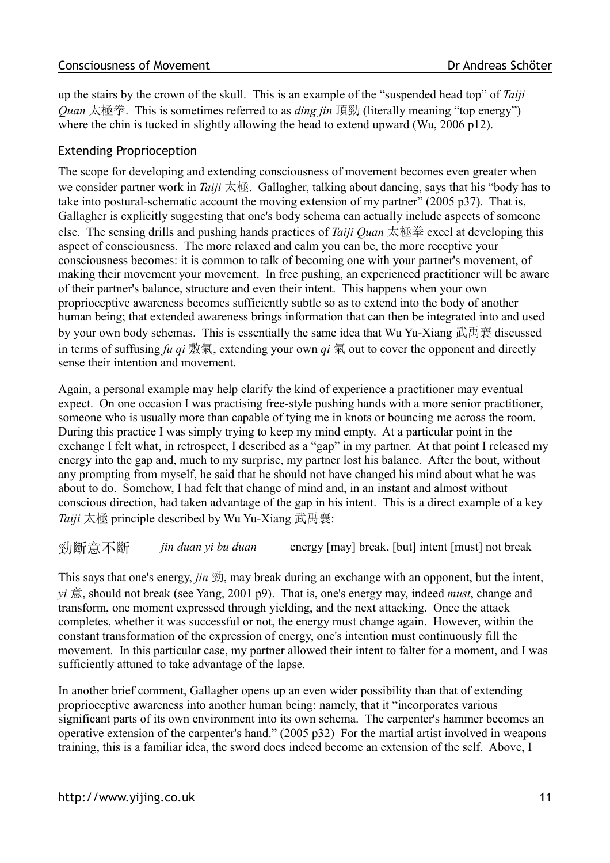#### Consciousness of Movement **Consciousness** of Movement

up the stairs by the crown of the skull. This is an example of the "suspended head top" of *Taiji Quan* 太極拳. This is sometimes referred to as *ding jin* 頂勁 (literally meaning "top energy") where the chin is tucked in slightly allowing the head to extend upward (Wu, 2006 p12).

### Extending Proprioception

The scope for developing and extending consciousness of movement becomes even greater when we consider partner work in *Taiji* 太極. Gallagher, talking about dancing, says that his "body has to take into postural-schematic account the moving extension of my partner" (2005 p37). That is, Gallagher is explicitly suggesting that one's body schema can actually include aspects of someone else. The sensing drills and pushing hands practices of *Taiji Quan* 太極拳 excel at developing this aspect of consciousness. The more relaxed and calm you can be, the more receptive your consciousness becomes: it is common to talk of becoming one with your partner's movement, of making their movement your movement. In free pushing, an experienced practitioner will be aware of their partner's balance, structure and even their intent. This happens when your own proprioceptive awareness becomes sufficiently subtle so as to extend into the body of another human being; that extended awareness brings information that can then be integrated into and used by your own body schemas. This is essentially the same idea that Wu Yu-Xiang 武禹襄 discussed in terms of suffusing  $fu$   $qi$  敷氣, extending your own  $qi$  氣 out to cover the opponent and directly sense their intention and movement.

Again, a personal example may help clarify the kind of experience a practitioner may eventual expect. On one occasion I was practising free-style pushing hands with a more senior practitioner, someone who is usually more than capable of tying me in knots or bouncing me across the room. During this practice I was simply trying to keep my mind empty. At a particular point in the exchange I felt what, in retrospect, I described as a "gap" in my partner. At that point I released my energy into the gap and, much to my surprise, my partner lost his balance. After the bout, without any prompting from myself, he said that he should not have changed his mind about what he was about to do. Somehow, I had felt that change of mind and, in an instant and almost without conscious direction, had taken advantage of the gap in his intent. This is a direct example of a key *Taiji* 太極 principle described by Wu Yu-Xiang 武禹襄:

勁斷意不斷 *jin duan yi bu duan* energy [may] break, [but] intent [must] not break

This says that one's energy, *jin* 勁, may break during an exchange with an opponent, but the intent, *yi* 意, should not break (see Yang, 2001 p9). That is, one's energy may, indeed *must*, change and transform, one moment expressed through yielding, and the next attacking. Once the attack completes, whether it was successful or not, the energy must change again. However, within the constant transformation of the expression of energy, one's intention must continuously fill the movement. In this particular case, my partner allowed their intent to falter for a moment, and I was sufficiently attuned to take advantage of the lapse.

In another brief comment, Gallagher opens up an even wider possibility than that of extending proprioceptive awareness into another human being: namely, that it "incorporates various significant parts of its own environment into its own schema. The carpenter's hammer becomes an operative extension of the carpenter's hand." (2005 p32) For the martial artist involved in weapons training, this is a familiar idea, the sword does indeed become an extension of the self. Above, I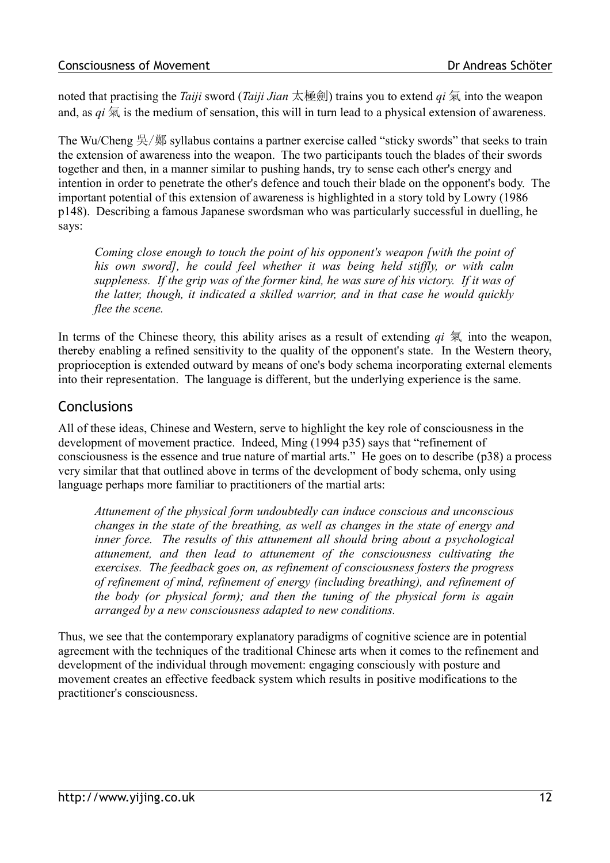noted that practising the *Taiji* sword (*Taiji Jian* 太極劍) trains you to extend *qi* 氣 into the weapon and, as  $qi \nightharpoonup \overline{\mathcal{R}}$  is the medium of sensation, this will in turn lead to a physical extension of awareness.

The Wu/Cheng 吳/鄭 syllabus contains a partner exercise called "sticky swords" that seeks to train the extension of awareness into the weapon. The two participants touch the blades of their swords together and then, in a manner similar to pushing hands, try to sense each other's energy and intention in order to penetrate the other's defence and touch their blade on the opponent's body. The important potential of this extension of awareness is highlighted in a story told by Lowry (1986 p148). Describing a famous Japanese swordsman who was particularly successful in duelling, he says:

*Coming close enough to touch the point of his opponent's weapon [with the point of his own sword], he could feel whether it was being held stiffly, or with calm suppleness. If the grip was of the former kind, he was sure of his victory. If it was of the latter, though, it indicated a skilled warrior, and in that case he would quickly flee the scene.*

In terms of the Chinese theory, this ability arises as a result of extending  $qi \nvert \nvert \nvert \nvert$  into the weapon, thereby enabling a refined sensitivity to the quality of the opponent's state. In the Western theory, proprioception is extended outward by means of one's body schema incorporating external elements into their representation. The language is different, but the underlying experience is the same.

## **Conclusions**

All of these ideas, Chinese and Western, serve to highlight the key role of consciousness in the development of movement practice. Indeed, Ming (1994 p35) says that "refinement of consciousness is the essence and true nature of martial arts." He goes on to describe (p38) a process very similar that that outlined above in terms of the development of body schema, only using language perhaps more familiar to practitioners of the martial arts:

*Attunement of the physical form undoubtedly can induce conscious and unconscious changes in the state of the breathing, as well as changes in the state of energy and inner force. The results of this attunement all should bring about a psychological attunement, and then lead to attunement of the consciousness cultivating the exercises. The feedback goes on, as refinement of consciousness fosters the progress of refinement of mind, refinement of energy (including breathing), and refinement of the body (or physical form); and then the tuning of the physical form is again arranged by a new consciousness adapted to new conditions.*

Thus, we see that the contemporary explanatory paradigms of cognitive science are in potential agreement with the techniques of the traditional Chinese arts when it comes to the refinement and development of the individual through movement: engaging consciously with posture and movement creates an effective feedback system which results in positive modifications to the practitioner's consciousness.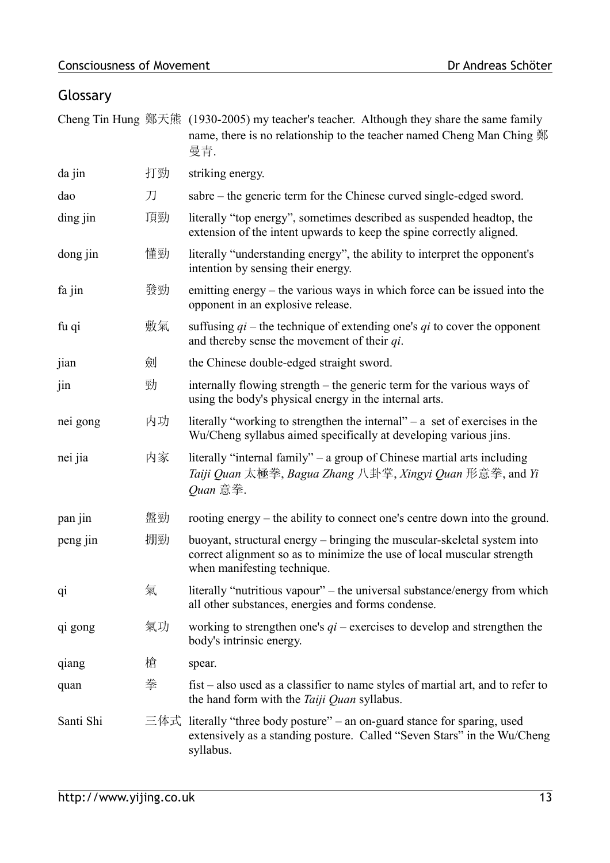# Glossary

|                |    | Cheng Tin Hung 鄭天熊 (1930-2005) my teacher's teacher. Although they share the same family<br>name, there is no relationship to the teacher named Cheng Man Ching 鄭<br>曼青.         |
|----------------|----|----------------------------------------------------------------------------------------------------------------------------------------------------------------------------------|
| da jin         | 打勁 | striking energy.                                                                                                                                                                 |
| dao            | 刀  | sabre – the generic term for the Chinese curved single-edged sword.                                                                                                              |
| ding jin       | 頂勁 | literally "top energy", sometimes described as suspended headtop, the<br>extension of the intent upwards to keep the spine correctly aligned.                                    |
| dong jin       | 懂勁 | literally "understanding energy", the ability to interpret the opponent's<br>intention by sensing their energy.                                                                  |
| fa jin         | 發勁 | emitting energy – the various ways in which force can be issued into the<br>opponent in an explosive release.                                                                    |
| fu qi          | 敷氣 | suffusing $qi$ – the technique of extending one's qi to cover the opponent<br>and thereby sense the movement of their $qi$ .                                                     |
| jian           | 劍  | the Chinese double-edged straight sword.                                                                                                                                         |
| jin            | 勁  | internally flowing strength – the generic term for the various ways of<br>using the body's physical energy in the internal arts.                                                 |
| nei gong       | 内功 | literally "working to strengthen the internal" $-$ a set of exercises in the<br>Wu/Cheng syllabus aimed specifically at developing various jins.                                 |
| nei jia        | 内家 | literally "internal family" – a group of Chinese martial arts including<br>Taiji Quan 太極拳, Bagua Zhang 八卦掌, Xingyi Quan 形意拳, and Yi<br>Quan 意拳.                                  |
| pan jin        | 盤勁 | rooting energy – the ability to connect one's centre down into the ground.                                                                                                       |
| peng jin       | 掤勁 | buoyant, structural energy – bringing the muscular-skeletal system into<br>correct alignment so as to minimize the use of local muscular strength<br>when manifesting technique. |
| q <sub>1</sub> | 氣  | literally "nutritious vapour" – the universal substance/energy from which<br>all other substances, energies and forms condense.                                                  |
| qi gong        | 氣功 | working to strengthen one's $qi$ – exercises to develop and strengthen the<br>body's intrinsic energy.                                                                           |
| qiang          | 槍  | spear.                                                                                                                                                                           |
| quan           | 拳  | $\text{first}$ – also used as a classifier to name styles of martial art, and to refer to<br>the hand form with the Taiji Quan syllabus.                                         |
| Santi Shi      |    | 三体式 literally "three body posture" – an on-guard stance for sparing, used<br>extensively as a standing posture. Called "Seven Stars" in the Wu/Cheng<br>syllabus.                |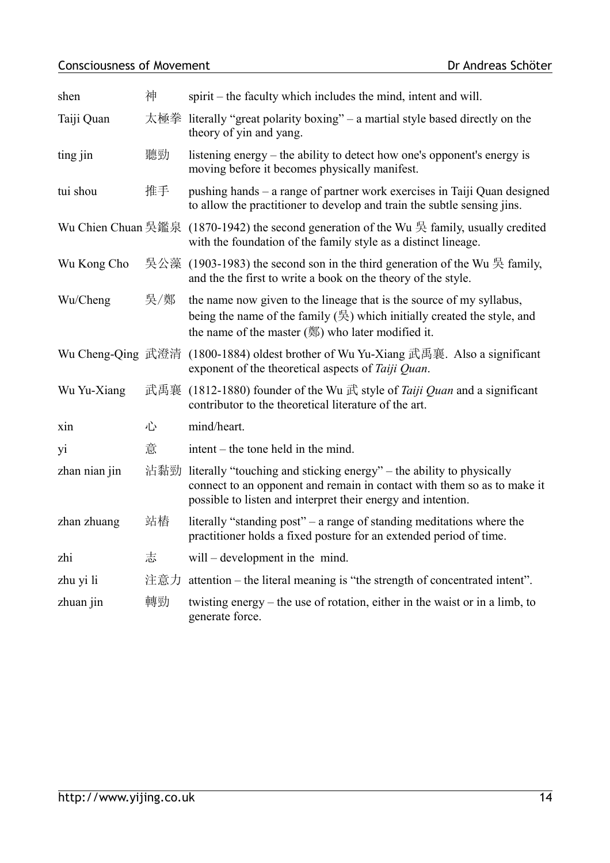## Consciousness of Movement Dr Andreas Schöter

| shen               | 神   | spirit – the faculty which includes the mind, intent and will.                                                                                                                                                                       |
|--------------------|-----|--------------------------------------------------------------------------------------------------------------------------------------------------------------------------------------------------------------------------------------|
| Taiji Quan         | 太極拳 | literally "great polarity boxing" – a martial style based directly on the<br>theory of yin and yang.                                                                                                                                 |
| ting jin           | 聽勁  | listening energy – the ability to detect how one's opponent's energy is<br>moving before it becomes physically manifest.                                                                                                             |
| tui shou           | 推手  | pushing hands – a range of partner work exercises in Taiji Quan designed<br>to allow the practitioner to develop and train the subtle sensing jins.                                                                                  |
| Wu Chien Chuan 吳鑑泉 |     | (1870-1942) the second generation of the Wu $\frac{1}{2}$ family, usually credited<br>with the foundation of the family style as a distinct lineage.                                                                                 |
| Wu Kong Cho        |     | 吳公藻 (1903-1983) the second son in the third generation of the Wu 吳 family,<br>and the the first to write a book on the theory of the style.                                                                                          |
| Wu/Cheng           | 吳/鄭 | the name now given to the lineage that is the source of my syllabus,<br>being the name of the family $(\frac{\mu}{\lambda})$ which initially created the style, and<br>the name of the master $(\frac{8}{3})$ who later modified it. |
|                    |     | Wu Cheng-Qing 武澄清 (1800-1884) oldest brother of Wu Yu-Xiang 武禹襄. Also a significant<br>exponent of the theoretical aspects of <i>Taiji Quan</i> .                                                                                    |
| Wu Yu-Xiang        |     | 武禹襄 (1812-1880) founder of the Wu 武 style of <i>Taiji Quan</i> and a significant<br>contributor to the theoretical literature of the art.                                                                                            |
| xin                | 心   | mind/heart.                                                                                                                                                                                                                          |
| yi                 | 意   | $\text{intent} - \text{the tone held in the mind.}$                                                                                                                                                                                  |
| zhan nian jin      | 沾黏勁 | literally "touching and sticking energy" – the ability to physically<br>connect to an opponent and remain in contact with them so as to make it<br>possible to listen and interpret their energy and intention.                      |
| zhan zhuang        | 站樁  | literally "standing post" - a range of standing meditations where the<br>practitioner holds a fixed posture for an extended period of time.                                                                                          |
| zhi                | 志   | will – development in the mind.                                                                                                                                                                                                      |
| zhu yi li          | 注意力 | attention – the literal meaning is "the strength of concentrated intent".                                                                                                                                                            |
| zhuan jin          | 轉勁  | twisting energy – the use of rotation, either in the waist or in a limb, to<br>generate force.                                                                                                                                       |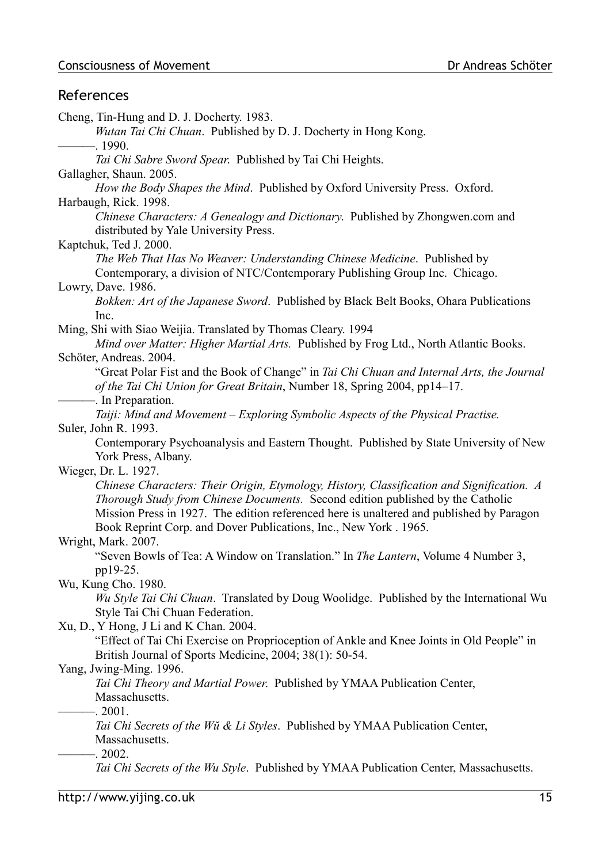### References

Cheng, Tin-Hung and D. J. Docherty. 1983. *Wutan Tai Chi Chuan*. Published by D. J. Docherty in Hong Kong.  $-1990.$ *Tai Chi Sabre Sword Spear*. Published by Tai Chi Heights. Gallagher, Shaun. 2005. *How the Body Shapes the Mind*. Published by Oxford University Press. Oxford. Harbaugh, Rick. 1998. *Chinese Characters: A Genealogy and Dictionary*. Published by Zhongwen.com and distributed by Yale University Press. Kaptchuk, Ted J. 2000. *The Web That Has No Weaver: Understanding Chinese Medicine*. Published by Contemporary, a division of NTC/Contemporary Publishing Group Inc. Chicago. Lowry, Dave. 1986. *Bokken: Art of the Japanese Sword*. Published by Black Belt Books, Ohara Publications Inc. Ming, Shi with Siao Weijia. Translated by Thomas Cleary. 1994 *Mind over Matter: Higher Martial Arts.* Published by Frog Ltd., North Atlantic Books. Schöter, Andreas. 2004. "Great Polar Fist and the Book of Change" in *Tai Chi Chuan and Internal Arts, the Journal of the Tai Chi Union for Great Britain*, Number 18, Spring 2004, pp14–17. -. In Preparation. *Taiji: Mind and Movement – Exploring Symbolic Aspects of the Physical Practise.* Suler, John R. 1993. Contemporary Psychoanalysis and Eastern Thought. Published by State University of New York Press, Albany. Wieger, Dr. L. 1927. *Chinese Characters: Their Origin, Etymology, History, Classification and Signification. A Thorough Study from Chinese Documents.* Second edition published by the Catholic Mission Press in 1927. The edition referenced here is unaltered and published by Paragon Book Reprint Corp. and Dover Publications, Inc., New York . 1965. Wright, Mark. 2007. "Seven Bowls of Tea: A Window on Translation." In *The Lantern*, Volume 4 Number 3, pp19-25. Wu, Kung Cho. 1980. *Wu Style Tai Chi Chuan*. Translated by Doug Woolidge. Published by the International Wu Style Tai Chi Chuan Federation. Xu, D., Y Hong, J Li and K Chan. 2004. "Effect of Tai Chi Exercise on Proprioception of Ankle and Knee Joints in Old People" in British Journal of Sports Medicine, 2004; 38(1): 50-54. Yang, Jwing-Ming. 1996. *Tai Chi Theory and Martial Power*. Published by YMAA Publication Center, Massachusetts.  $-2001$ . *Tai Chi Secrets of the Wŭ & Li Styles*. Published by YMAA Publication Center, Massachusetts.  $-2002.$ *Tai Chi Secrets of the Wu Style*. Published by YMAA Publication Center, Massachusetts.